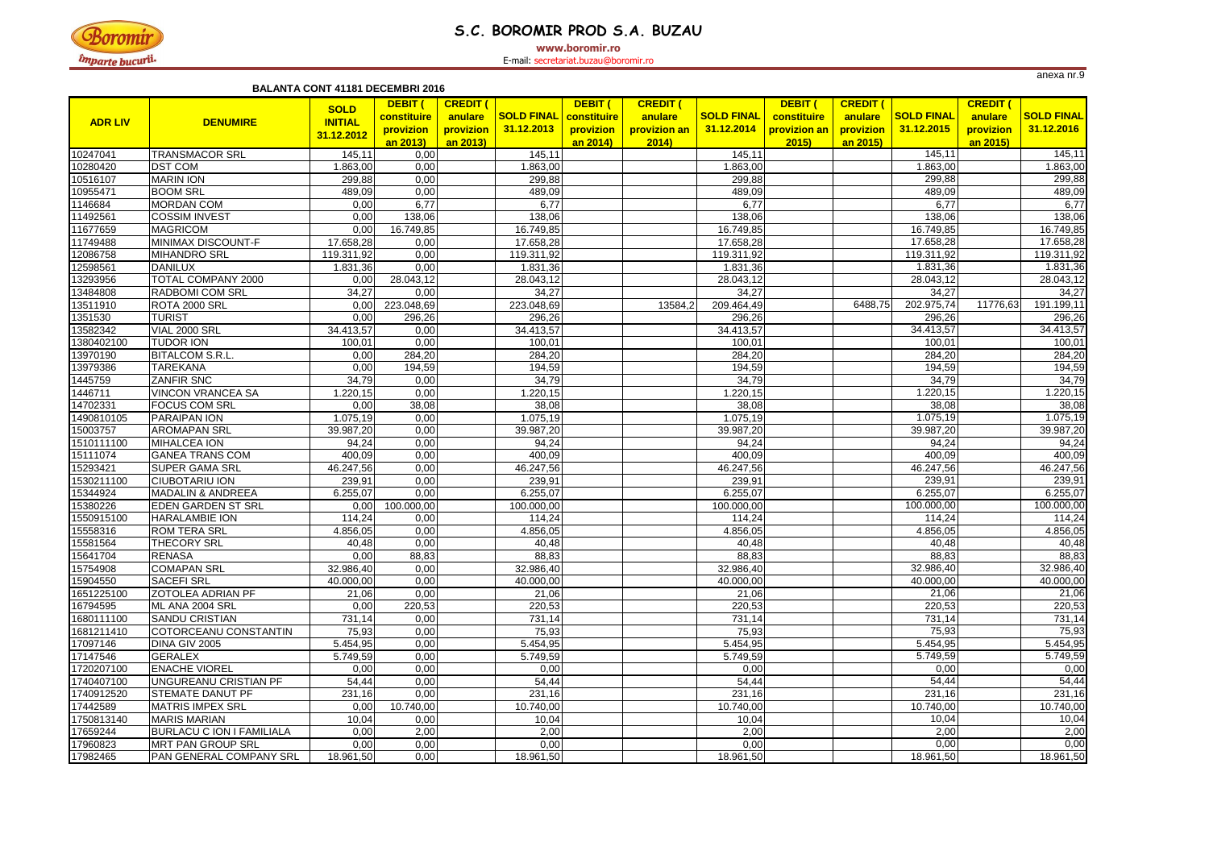#### **BALANTA CONT 41181 31,12,2013 BALANTA CONT 41181 DECEMBRI 2016**

|                |                                  | DALANTA VVNT TITUT DLULMDINI ZUTU |             |                 |                   |             |                 |                   |              |                 |                         |                 |                   |
|----------------|----------------------------------|-----------------------------------|-------------|-----------------|-------------------|-------------|-----------------|-------------------|--------------|-----------------|-------------------------|-----------------|-------------------|
|                |                                  | <b>SOLD</b>                       | DEBIT (     | <b>CREDIT (</b> |                   | DEBIT (     | <b>CREDIT (</b> |                   | DEBIT (      | <b>CREDIT (</b> |                         | <b>CREDIT (</b> |                   |
| <b>ADR LIV</b> | <b>DENUMIRE</b>                  | <b>INITIAL</b>                    | constituire | anulare         | <b>SOLD FINAL</b> | constituire | anulare         | <b>SOLD FINAL</b> | constituire  | anulare         | <b>SOLD FINAL</b>       | anulare         | <b>SOLD FINAL</b> |
|                |                                  | 31.12.2012                        | provizion   | provizion       | 31.12.2013        | provizion   | provizion an    | 31.12.2014        | provizion an | provizion       | 31.12.2015              | provizion       | 31.12.2016        |
|                |                                  |                                   | an 2013)    | an 2013)        |                   | an 2014)    | 2014)           |                   | 2015         | an 2015)        |                         | <u>an 2015)</u> |                   |
| 10247041       | <b>TRANSMACOR SRL</b>            | 145,11                            | 0,00        |                 | 145,11            |             |                 | 145,11            |              |                 | 145,11                  |                 | 145,11            |
| 10280420       | <b>DST COM</b>                   | 1.863,00                          | 0,00        |                 | 1.863,00          |             |                 | 1.863,00          |              |                 | 1.863,00                |                 | 1.863,00          |
| 10516107       | <b>MARIN ION</b>                 | 299,88                            | 0,00        |                 | 299,88            |             |                 | 299,88            |              |                 | 299,88                  |                 | 299,88            |
| 10955471       | <b>BOOM SRL</b>                  | 489,09                            | 0,00        |                 | 489,09            |             |                 | 489,09            |              |                 | 489,09                  |                 | 489,09            |
| 1146684        | <b>MORDAN COM</b>                | 0,00                              | 6,77        |                 | 6,77              |             |                 | 6,77              |              |                 | 6,77                    |                 | 6,77              |
| 11492561       | <b>COSSIM INVEST</b>             | 0,00                              | 138,06      |                 | 138,06            |             |                 | 138,06            |              |                 | 138,06                  |                 | 138,06            |
| 11677659       | <b>MAGRICOM</b>                  | 0,00                              | 16.749,85   |                 | 16.749,85         |             |                 | 16.749,85         |              |                 | 16.749,85               |                 | 16.749,85         |
| 11749488       | <b>MINIMAX DISCOUNT-F</b>        | 17.658,28                         | 0,00        |                 | 17.658,28         |             |                 | 17.658,28         |              |                 | 17.658,28               |                 | 17.658,28         |
| 12086758       | <b>MIHANDRO SRL</b>              | 119.311,92                        | 0,00        |                 | 119.311,92        |             |                 | 119.311,92        |              |                 | 119.311,92              |                 | 119.311,92        |
| 12598561       | <b>DANILUX</b>                   | 1.831,36                          | 0,00        |                 | 1.831,36          |             |                 | 1.831,36          |              |                 | 1.831,36                |                 | 1.831,36          |
| 13293956       | <b>TOTAL COMPANY 2000</b>        | 0,00                              | 28.043,12   |                 | 28.043,12         |             |                 | 28.043,12         |              |                 | $\overline{28.043, 12}$ |                 | 28.043,12         |
| 13484808       | RADBOMI COM SRL                  | 34,27                             | 0,00        |                 | 34,27             |             |                 | 34,27             |              |                 | 34,27                   |                 | 34,27             |
| 13511910       | ROTA 2000 SRL                    | 0,00                              | 223.048,69  |                 | 223.048,69        |             | 13584,2         | 209.464,49        |              | 6488,75         | 202.975,74              | 11776,63        | 191.199,11        |
| 1351530        | <b>TURIST</b>                    | 0,00                              | 296,26      |                 | 296,26            |             |                 | 296,26            |              |                 | 296,26                  |                 | 296,26            |
| 13582342       | <b>VIAL 2000 SRL</b>             | 34.413,57                         | 0,00        |                 | 34.413,57         |             |                 | 34.413,57         |              |                 | 34.413,57               |                 | 34.413,57         |
| 1380402100     | <b>TUDOR ION</b>                 | 100,01                            | 0,00        |                 | 100,01            |             |                 | 100,01            |              |                 | 100,01                  |                 | 100,01            |
| 13970190       | <b>BITALCOM S.R.L.</b>           | 0,00                              | 284,20      |                 | 284,20            |             |                 | 284,20            |              |                 | 284,20                  |                 | 284,20            |
| 13979386       | <b>TAREKANA</b>                  | 0,00                              | 194,59      |                 | 194,59            |             |                 | 194,59            |              |                 | 194,59                  |                 | 194,59            |
| 1445759        | <b>ZANFIR SNC</b>                | 34,79                             | 0,00        |                 | 34,79             |             |                 | 34,79             |              |                 | 34,79                   |                 | 34,79             |
| 1446711        | <b>VINCON VRANCEA SA</b>         | .220,15                           | 0,00        |                 | .220, 15          |             |                 | .220,15           |              |                 | .220,15                 |                 | 1.220,15          |
| 14702331       | <b>FOCUS COM SRL</b>             | 0,00                              | 38,08       |                 | 38,08             |             |                 | 38,08             |              |                 | 38,08                   |                 | 38,08             |
| 1490810105     | <b>PARAIPAN ION</b>              | 1.075,19                          | 0,00        |                 | 1.075,19          |             |                 | 1.075,19          |              |                 | 1.075,19                |                 | 1.075,19          |
| 15003757       | <b>AROMAPAN SRL</b>              | 39.987,20                         | 0,00        |                 | 39.987,20         |             |                 | 39.987,20         |              |                 | 39.987,20               |                 | 39.987,20         |
| 1510111100     | <b>MIHALCEA ION</b>              | 94,24                             | 0,00        |                 | 94,24             |             |                 | 94,24             |              |                 | 94,24                   |                 | 94,24             |
| 15111074       | <b>GANEA TRANS COM</b>           | 400,09                            | 0,00        |                 | 400,09            |             |                 | 400,09            |              |                 | 400,09                  |                 | 400,09            |
| 15293421       | <b>SUPER GAMA SRL</b>            | 46.247,56                         | 0,00        |                 | 46.247,56         |             |                 | 46.247,56         |              |                 | 46.247,56               |                 | 46.247,56         |
| 1530211100     | <b>CIUBOTARIU ION</b>            | 239,91                            | 0,00        |                 | 239,91            |             |                 | 239,91            |              |                 | 239,91                  |                 | 239,91            |
| 15344924       | <b>MADALIN &amp; ANDREEA</b>     | 6.255,07                          | 0,00        |                 | 6.255,07          |             |                 | 6.255,07          |              |                 | 6.255,07                |                 | 6.255,07          |
| 15380226       | <b>EDEN GARDEN ST SRL</b>        | 0,00                              | 100.000,00  |                 | 100.000,00        |             |                 | 100.000,00        |              |                 | 100.000,00              |                 | 100.000,00        |
| 1550915100     | <b>HARALAMBIE ION</b>            | 114,24                            | 0,00        |                 | 114,24            |             |                 | 114,24            |              |                 | 114,24                  |                 | 114,24            |
| 15558316       | <b>ROM TERA SRL</b>              | 4.856,05                          | 0,00        |                 | 4.856,05          |             |                 | 4.856,05          |              |                 | 4.856,05                |                 | 4.856,05          |
| 15581564       | <b>THECORY SRL</b>               | 40,48                             | 0,00        |                 | 40,48             |             |                 | 40,48             |              |                 | 40,48                   |                 | 40,48             |
| 15641704       | <b>RENASA</b>                    | 0,00                              | 88,83       |                 | 88,83             |             |                 | 88,83             |              |                 | 88,83                   |                 | 88,83             |
| 15754908       | <b>COMAPAN SRL</b>               | 32.986,40                         | 0,00        |                 | 32.986,40         |             |                 | 32.986,40         |              |                 | 32.986,40               |                 | 32.986,40         |
| 15904550       | <b>SACEFI SRL</b>                | 40.000,00                         | 0,00        |                 | 40.000,00         |             |                 | 40.000,00         |              |                 | 40.000,00               |                 | 40.000,00         |
| 1651225100     | <b>ZOTOLEA ADRIAN PF</b>         | 21,06                             | 0,00        |                 | 21,06             |             |                 | 21,06             |              |                 | 21,06                   |                 | 21,06             |
| 16794595       | ML ANA 2004 SRL                  | 0,00                              | 220,53      |                 | 220,53            |             |                 | 220,53            |              |                 | 220,53                  |                 | 220,53            |
| 1680111100     | <b>SANDU CRISTIAN</b>            | 731,14                            | 0,00        |                 | 731,14            |             |                 | 731,14            |              |                 | 731,14                  |                 | 731,14            |
| 1681211410     | COTORCEANU CONSTANTIN            | 75,93                             | 0,00        |                 | 75,93             |             |                 | 75,93             |              |                 | 75,93                   |                 | 75,93             |
| 17097146       | DINA GIV 2005                    | 5.454,95                          | 0,00        |                 | 5.454,95          |             |                 | 5.454,95          |              |                 | 5.454,95                |                 | 5.454,95          |
| 17147546       | <b>GERALEX</b>                   | 5.749,59                          | 0,00        |                 | 5.749,59          |             |                 | 5.749,59          |              |                 | 5.749,59                |                 | 5.749,59          |
| 1720207100     | <b>ENACHE VIOREL</b>             | 0,00                              | 0,00        |                 | 0,00              |             |                 | 0,00              |              |                 | 0,00                    |                 | 0,00              |
| 1740407100     | UNGUREANU CRISTIAN PF            | 54,44                             | 0,00        |                 | 54,44             |             |                 | 54,44             |              |                 | 54,44                   |                 | 54,44             |
| 1740912520     | <b>STEMATE DANUT PF</b>          | 231,16                            | 0,00        |                 | 231,16            |             |                 | 231,16            |              |                 | 231,16                  |                 | 231,16            |
| 17442589       | <b>MATRIS IMPEX SRL</b>          | 0,00                              | 10.740,00   |                 | 10.740,00         |             |                 | 10.740,00         |              |                 | 10.740,00               |                 | 10.740,00         |
| 1750813140     | <b>MARIS MARIAN</b>              | 10,04                             | 0,00        |                 | 10,04             |             |                 | 10,04             |              |                 | 10,04                   |                 | 10,04             |
| 17659244       | <b>BURLACU C ION I FAMILIALA</b> | 0,00                              | 2,00        |                 | 2,00              |             |                 | 2,00              |              |                 | 2,00                    |                 | 2,00              |
| 17960823       | <b>MRT PAN GROUP SRL</b>         | 0,00                              | 0,00        |                 | 0,00              |             |                 | 0,00              |              |                 | 0,00                    |                 | 0,00              |
| 17982465       | PAN GENERAL COMPANY SRL          | 18.961,50                         | 0,00        |                 | 18.961,50         |             |                 | 18.961,50         |              |                 | 18.961,50               |                 | 18.961,50         |



# **S.C. BOROMIR PROD S.A. BUZAU**

**www.boromir.ro**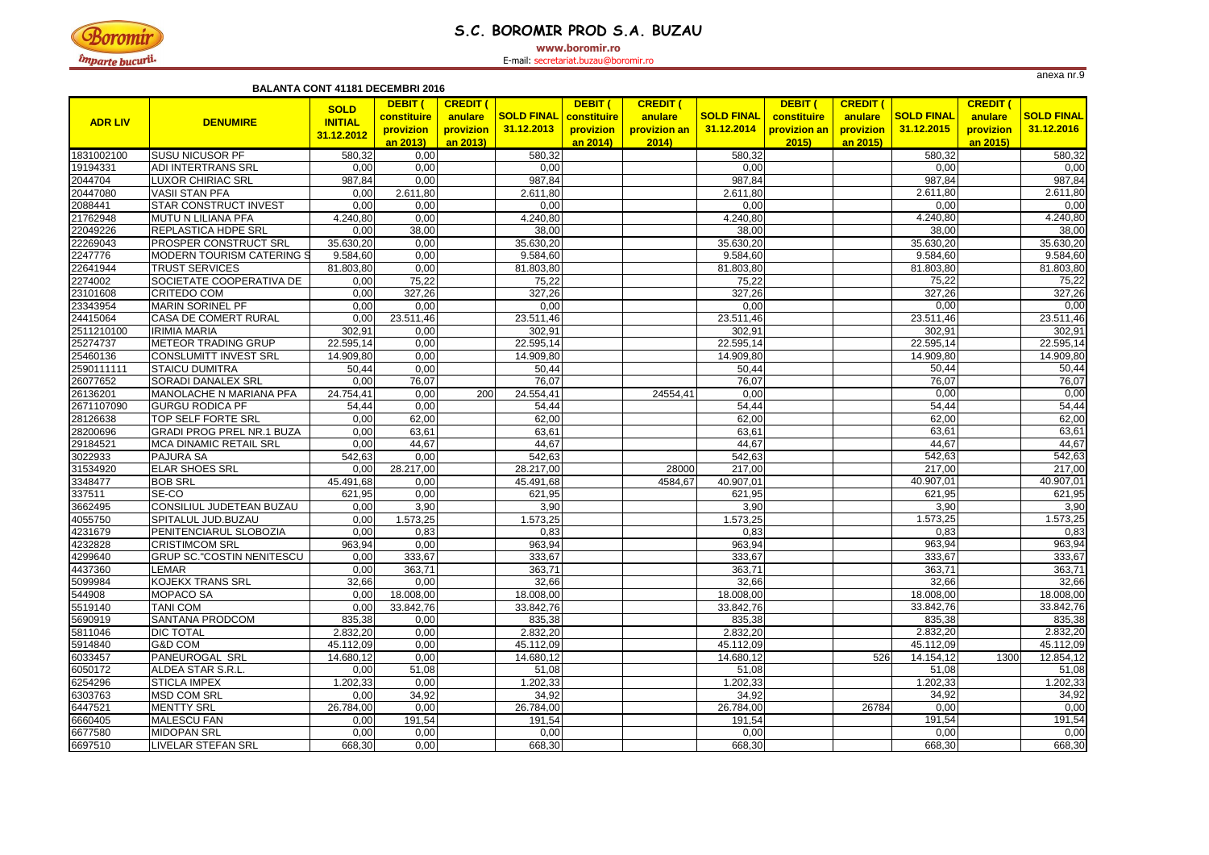

### **S.C. BOROMIR PROD S.A. BUZAU**

**www.boromir.ro**

| <b>BALANTA CONT 41181 DECEMBRI 2016</b> |                                   |                                             |                                                      |                                                     |                                 |                                                 |                                                    |                                 |                                                     |                                                     |                                 |                                                     |                                 |
|-----------------------------------------|-----------------------------------|---------------------------------------------|------------------------------------------------------|-----------------------------------------------------|---------------------------------|-------------------------------------------------|----------------------------------------------------|---------------------------------|-----------------------------------------------------|-----------------------------------------------------|---------------------------------|-----------------------------------------------------|---------------------------------|
| <b>ADR LIV</b>                          | <b>DENUMIRE</b>                   | <b>SOLD</b><br><b>INITIAL</b><br>31.12.2012 | <b>DEBIT</b><br>constituire<br>provizion<br>an 2013) | <b>CREDIT (</b><br>anulare<br>provizion<br>an 2013) | <b>SOLD FINAL</b><br>31.12.2013 | DEBIT (<br>constituire<br>provizion<br>an 2014) | <b>CREDIT (</b><br>anulare<br>provizion an<br>2014 | <b>SOLD FINAL</b><br>31.12.2014 | <b>DEBIT</b><br>constituire<br>provizion an<br>2015 | <b>CREDIT (</b><br>anulare<br>provizion<br>an 2015) | <b>SOLD FINAL</b><br>31.12.2015 | <b>CREDIT (</b><br>anulare<br>provizion<br>an 2015) | <b>SOLD FINAL</b><br>31.12.2016 |
| 1831002100                              | <b>SUSU NICUSOR PF</b>            | 580,32                                      | 0,00                                                 |                                                     | 580,32                          |                                                 |                                                    | 580,32                          |                                                     |                                                     | 580,32                          |                                                     | 580,32                          |
| 19194331                                | <b>ADI INTERTRANS SRL</b>         | 0,00                                        | 0,00                                                 |                                                     | 0,00                            |                                                 |                                                    | 0,00                            |                                                     |                                                     | 0,00                            |                                                     | 0,00                            |
| 2044704                                 | <b>LUXOR CHIRIAC SRL</b>          | 987,84                                      | 0,00                                                 |                                                     | 987,84                          |                                                 |                                                    | 987,84                          |                                                     |                                                     | 987,84                          |                                                     | 987,84                          |
| 20447080                                | <b>VASII STAN PFA</b>             | 0,00                                        | 2.611,80                                             |                                                     | 2.611,80                        |                                                 |                                                    | 2.611,80                        |                                                     |                                                     | 2.611,80                        |                                                     | 2.611,80                        |
| 2088441                                 | <b>STAR CONSTRUCT INVEST</b>      | 0,00                                        | 0,00                                                 |                                                     | 0,00                            |                                                 |                                                    | 0,00                            |                                                     |                                                     | 0,00                            |                                                     | 0,00                            |
| 21762948                                | MUTU N LILIANA PFA                | 4.240,80                                    | 0,00                                                 |                                                     | 4.240,80                        |                                                 |                                                    | 4.240,80                        |                                                     |                                                     | 4.240,80                        |                                                     | 4.240,80                        |
| 22049226                                | <b>REPLASTICA HDPE SRL</b>        | 0,00                                        | 38,00                                                |                                                     | 38,00                           |                                                 |                                                    | 38,00                           |                                                     |                                                     | 38,00                           |                                                     | 38,00                           |
| 22269043                                | <b>PROSPER CONSTRUCT SRL</b>      | 35.630,20                                   | 0,00                                                 |                                                     | 35.630,20                       |                                                 |                                                    | 35.630,20                       |                                                     |                                                     | 35.630,20                       |                                                     | 35.630,20                       |
| 2247776                                 | MODERN TOURISM CATERING S         | 9.584,60                                    | 0,00                                                 |                                                     | 9.584,60                        |                                                 |                                                    | 9.584,60                        |                                                     |                                                     | 9.584,60                        |                                                     | 9.584,60                        |
| 22641944                                | <b>TRUST SERVICES</b>             | 81.803,80                                   | 0,00                                                 |                                                     | 81.803,80                       |                                                 |                                                    | 81.803,80                       |                                                     |                                                     | 81.803,80                       |                                                     | 81.803,80                       |
| 2274002                                 | SOCIETATE COOPERATIVA DE          | 0,00                                        | 75,22                                                |                                                     | 75,22                           |                                                 |                                                    | 75,22                           |                                                     |                                                     | 75,22                           |                                                     | 75,22                           |
| 23101608                                | <b>CRITEDO COM</b>                | 0,00                                        | 327,26                                               |                                                     | 327,26                          |                                                 |                                                    | 327,26                          |                                                     |                                                     | 327,26                          |                                                     | 327,26                          |
| 23343954                                | <b>MARIN SORINEL PF</b>           | 0,00                                        | 0,00                                                 |                                                     | 0,00                            |                                                 |                                                    | 0,00                            |                                                     |                                                     | 0,00                            |                                                     | 0,00                            |
| 24415064                                | <b>CASA DE COMERT RURAL</b>       | 0,00                                        | 23.511,46                                            |                                                     | 23.511,46                       |                                                 |                                                    | 23.511,46                       |                                                     |                                                     | 23.511,46                       |                                                     | 23.511,46                       |
| 2511210100                              | <b>IRIMIA MARIA</b>               | 302,91                                      | 0,00                                                 |                                                     | 302,91                          |                                                 |                                                    | 302,91                          |                                                     |                                                     | 302,91                          |                                                     | 302,91                          |
| 25274737                                | <b>METEOR TRADING GRUP</b>        | 22.595,14                                   | 0,00                                                 |                                                     | 22.595,14                       |                                                 |                                                    | 22.595,14                       |                                                     |                                                     | 22.595,14                       |                                                     | 22.595,14                       |
| 25460136                                | CONSLUMITT INVEST SRL             | 14.909,80                                   | 0,00                                                 |                                                     | 14.909,80                       |                                                 |                                                    | 14.909,80                       |                                                     |                                                     | 14.909,80                       |                                                     | 14.909,80                       |
| 2590111111                              | <b>STAICU DUMITRA</b>             | 50,44                                       | 0,00                                                 |                                                     | 50,44                           |                                                 |                                                    | 50,44                           |                                                     |                                                     | 50,44                           |                                                     | 50,44                           |
| 26077652                                | <b>SORADI DANALEX SRL</b>         | 0,00                                        | 76,07                                                |                                                     | 76,07                           |                                                 |                                                    | 76,07                           |                                                     |                                                     | 76,07                           |                                                     | 76,07                           |
| 26136201                                | MANOLACHE N MARIANA PFA           | 24.754,41                                   | 0,00                                                 | 200                                                 | 24.554,41                       |                                                 | 24554,41                                           | 0,00                            |                                                     |                                                     | 0,00                            |                                                     | 0,00                            |
| 2671107090                              | <b>GURGU RODICA PF</b>            | 54,44                                       | 0,00                                                 |                                                     | 54,44                           |                                                 |                                                    | 54,44                           |                                                     |                                                     | 54,44                           |                                                     | 54,44                           |
| 28126638                                | <b>TOP SELF FORTE SRL</b>         | 0,00                                        | 62,00                                                |                                                     | 62,00                           |                                                 |                                                    | 62,00                           |                                                     |                                                     | 62,00                           |                                                     | 62,00                           |
| 28200696                                | <b>GRADI PROG PREL NR.1 BUZA</b>  | 0,00                                        | 63,61                                                |                                                     | 63,61                           |                                                 |                                                    | 63,61                           |                                                     |                                                     | 63,61                           |                                                     | 63,61                           |
| 29184521                                | <b>MCA DINAMIC RETAIL SRL</b>     | 0,00                                        | 44,67                                                |                                                     | 44,67                           |                                                 |                                                    | 44,67                           |                                                     |                                                     | 44,67                           |                                                     | 44,67                           |
| 3022933                                 | <b>PAJURA SA</b>                  | 542,63                                      | 0,00                                                 |                                                     | 542,63                          |                                                 |                                                    | 542,63                          |                                                     |                                                     | 542,63                          |                                                     | 542,63                          |
| 31534920                                | <b>ELAR SHOES SRL</b>             | 0,00                                        | 28.217,00                                            |                                                     | 28.217,00                       |                                                 | 28000                                              | 217,00                          |                                                     |                                                     | 217,00                          |                                                     | 217,00                          |
| 3348477                                 | <b>BOB SRL</b>                    | 45.491,68                                   | 0,00                                                 |                                                     | 45.491,68                       |                                                 | 4584,67                                            | 40.907,01                       |                                                     |                                                     | 40.907,01                       |                                                     | 40.907,01                       |
| 337511                                  | SE-CO                             | 621,95                                      | 0,00                                                 |                                                     | 621,95                          |                                                 |                                                    | 621,95                          |                                                     |                                                     | 621,95                          |                                                     | 621,95                          |
| 3662495                                 | <b>CONSILIUL JUDETEAN BUZAU</b>   | 0,00                                        | 3,90                                                 |                                                     | 3,90                            |                                                 |                                                    | 3,90                            |                                                     |                                                     | 3,90                            |                                                     | 3,90                            |
| 4055750                                 | SPITALUL JUD.BUZAU                | 0,00                                        | 1.573,25                                             |                                                     | 1.573,25                        |                                                 |                                                    | 1.573,25                        |                                                     |                                                     | 1.573,25                        |                                                     | 1.573,25                        |
| 4231679                                 | PENITENCIARUL SLOBOZIA            | 0,00                                        | 0,83                                                 |                                                     | 0,83                            |                                                 |                                                    | 0,83                            |                                                     |                                                     | 0,83                            |                                                     | 0,83                            |
| 4232828                                 | <b>CRISTIMCOM SRL</b>             | 963,94                                      | 0,00                                                 |                                                     | 963,94                          |                                                 |                                                    | 963,94                          |                                                     |                                                     | 963,94                          |                                                     | 963,94                          |
| 4299640                                 | <b>GRUP SC. "COSTIN NENITESCU</b> | 0,00                                        | 333,67                                               |                                                     | 333,67                          |                                                 |                                                    | 333,67                          |                                                     |                                                     | 333,67                          |                                                     | 333,67                          |
| 4437360                                 | <b>LEMAR</b>                      | 0,00                                        | 363,71                                               |                                                     | 363,71                          |                                                 |                                                    | 363,71                          |                                                     |                                                     | 363,71                          |                                                     | 363,71                          |
| 5099984                                 | <b>KOJEKX TRANS SRL</b>           | 32,66                                       | 0,00                                                 |                                                     | 32,66                           |                                                 |                                                    | 32,66                           |                                                     |                                                     | 32,66                           |                                                     | 32,66                           |
| 544908                                  | <b>MOPACO SA</b>                  | 0,00                                        | 18.008,00                                            |                                                     | 18.008,00                       |                                                 |                                                    | 18.008,00                       |                                                     |                                                     | 18.008,00                       |                                                     | 18.008,00                       |
| 5519140                                 | <b>TANI COM</b>                   | 0,00                                        | 33.842,76                                            |                                                     | 33.842,76                       |                                                 |                                                    | 33.842,76                       |                                                     |                                                     | 33.842,76                       |                                                     | 33.842,76                       |
| 5690919                                 | <b>SANTANA PRODCOM</b>            | 835,38                                      | 0,00                                                 |                                                     | 835,38                          |                                                 |                                                    | 835,38                          |                                                     |                                                     | 835,38                          |                                                     | 835,38                          |
| 5811046                                 | <b>DIC TOTAL</b>                  | 2.832,20                                    | 0,00                                                 |                                                     | 2.832,20                        |                                                 |                                                    | 2.832,20                        |                                                     |                                                     | 2.832,20                        |                                                     | 2.832,20                        |
| 5914840                                 | <b>G&amp;D COM</b>                | 45.112,09                                   | 0,00                                                 |                                                     | 45.112,09                       |                                                 |                                                    | 45.112,09                       |                                                     |                                                     | 45.112,09                       |                                                     | 45.112,09                       |
| 6033457                                 | <b>PANEUROGAL SRL</b>             | 14.680,12                                   | 0,00                                                 |                                                     | 14.680,12                       |                                                 |                                                    | 14.680,12                       |                                                     | 526                                                 | 14.154,12                       | 1300                                                | 12.854,12                       |
| 6050172                                 | ALDEA STAR S.R.L.                 |                                             |                                                      |                                                     |                                 |                                                 |                                                    |                                 |                                                     |                                                     |                                 |                                                     |                                 |
|                                         |                                   | 0,00                                        | 51,08                                                |                                                     | 51,08                           |                                                 |                                                    | 51,08                           |                                                     |                                                     | 51,08                           |                                                     | 51,08                           |
| 6254296                                 | <b>STICLA IMPEX</b>               | 1.202,33                                    | 0,00                                                 |                                                     | .202,33                         |                                                 |                                                    | 1.202,33                        |                                                     |                                                     | 1.202,33                        |                                                     | .202, 33                        |
| 6303763                                 | <b>MSD COM SRL</b>                | 0,00                                        | 34,92                                                |                                                     | 34,92                           |                                                 |                                                    | 34,92                           |                                                     |                                                     | 34,92                           |                                                     | 34,92                           |
| 6447521                                 | <b>MENTTY SRL</b>                 | 26.784,00                                   | 0,00                                                 |                                                     | 26.784,00                       |                                                 |                                                    | 26.784,00                       |                                                     | 26784                                               | 0,00                            |                                                     | 0,00                            |
| 6660405                                 | <b>MALESCU FAN</b>                | 0,00                                        | 191,54                                               |                                                     | 191,54                          |                                                 |                                                    | 191,54                          |                                                     |                                                     | 191,54                          |                                                     | 191,54                          |
| 6677580                                 | <b>MIDOPAN SRL</b>                | 0,00                                        | 0,00                                                 |                                                     | 0,00                            |                                                 |                                                    | 0,00                            |                                                     |                                                     | 0,00                            |                                                     | 0,00                            |
| 6697510                                 | <b>LIVELAR STEFAN SRL</b>         | 668,30                                      | 0,00                                                 |                                                     | 668,30                          |                                                 |                                                    | 668,30                          |                                                     |                                                     | 668,30                          |                                                     | 668,30                          |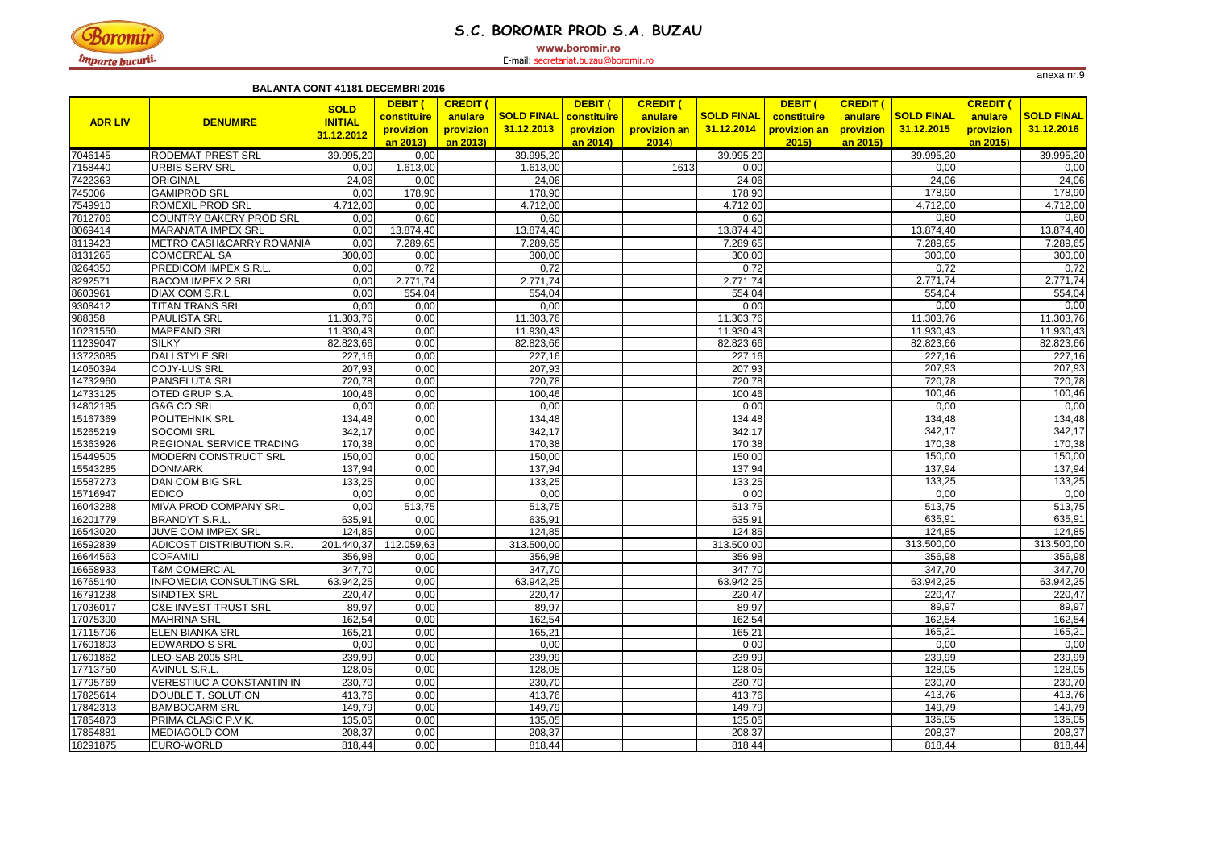

### **S.C. BOROMIR PROD S.A. BUZAU**

**www.boromir.ro**

|                |                                  | <b>BALANTA CONT 41181 DECEMBRI 2016</b>     |                                                 |                                                     |                                             |                                  |                                                    |                                 |                                                |                                                     |                                 |                                                     |                                 |
|----------------|----------------------------------|---------------------------------------------|-------------------------------------------------|-----------------------------------------------------|---------------------------------------------|----------------------------------|----------------------------------------------------|---------------------------------|------------------------------------------------|-----------------------------------------------------|---------------------------------|-----------------------------------------------------|---------------------------------|
| <b>ADR LIV</b> | <b>DENUMIRE</b>                  | <b>SOLD</b><br><b>INITIAL</b><br>31.12.2012 | DEBIT (<br>constituire<br>provizion<br>an 2013) | <b>CREDIT (</b><br>anulare<br>provizion<br>an 2013) | <b>SOLD FINAL</b> constituire<br>31.12.2013 | DEBIT (<br>provizion<br>an 2014) | <b>CREDIT (</b><br>anulare<br>provizion an<br>2014 | <b>SOLD FINAL</b><br>31.12.2014 | DEBIT (<br>constituire<br>provizion an<br>2015 | <b>CREDIT (</b><br>anulare<br>provizion<br>an 2015) | <b>SOLD FINAL</b><br>31.12.2015 | <b>CREDIT (</b><br>anulare<br>provizion<br>an 2015) | <b>SOLD FINAL</b><br>31.12.2016 |
| 7046145        | <b>RODEMAT PREST SRL</b>         | 39.995,20                                   | 0,00                                            |                                                     | 39.995,20                                   |                                  |                                                    | 39.995,20                       |                                                |                                                     | 39.995,20                       |                                                     | 39.995,20                       |
| 7158440        | <b>URBIS SERV SRL</b>            | 0,00                                        | 1.613,00                                        |                                                     | 1.613,00                                    |                                  | 1613                                               | 0,00                            |                                                |                                                     | 0,00                            |                                                     | 0,00                            |
| 7422363        | <b>ORIGINAL</b>                  | 24,06                                       | 0,00                                            |                                                     | 24,06                                       |                                  |                                                    | 24,06                           |                                                |                                                     | 24,06                           |                                                     | 24,06                           |
| 745006         | <b>GAMIPROD SRL</b>              | 0,00                                        | 178,90                                          |                                                     | 178,90                                      |                                  |                                                    | 178,90                          |                                                |                                                     | 178,90                          |                                                     | 178,90                          |
| 7549910        | <b>ROMEXIL PROD SRL</b>          | 4.712,00                                    | 0,00                                            |                                                     | 4.712,00                                    |                                  |                                                    | 4.712,00                        |                                                |                                                     | 4.712,00                        |                                                     | 4.712,00                        |
| 7812706        | COUNTRY BAKERY PROD SRL          | 0,00                                        | 0,60                                            |                                                     | 0,60                                        |                                  |                                                    | 0,60                            |                                                |                                                     | 0,60                            |                                                     | 0,60                            |
| 8069414        | <b>MARANATA IMPEX SRL</b>        | 0,00                                        | 13.874,40                                       |                                                     | 13.874,40                                   |                                  |                                                    | 13.874,40                       |                                                |                                                     | 13.874,40                       |                                                     | 13.874,40                       |
| 8119423        | METRO CASH&CARRY ROMANIA         | 0,00                                        | 7.289,65                                        |                                                     | 7.289,65                                    |                                  |                                                    | 7.289,65                        |                                                |                                                     | 7.289,65                        |                                                     | 7.289,65                        |
| 8131265        | <b>COMCEREAL SA</b>              | 300,00                                      | 0,00                                            |                                                     | 300,00                                      |                                  |                                                    | 300,00                          |                                                |                                                     | 300,00                          |                                                     | 300,00                          |
| 8264350        | <b>PREDICOM IMPEX S.R.L.</b>     | 0,00                                        | 0,72                                            |                                                     | 0,72                                        |                                  |                                                    | 0,72                            |                                                |                                                     | 0,72                            |                                                     | 0,72                            |
| 8292571        | <b>BACOM IMPEX 2 SRL</b>         | 0,00                                        | 2.771,74                                        |                                                     | 2.771,74                                    |                                  |                                                    | 2.771,74                        |                                                |                                                     | 2.771,74                        |                                                     | 2.771,74                        |
| 8603961        | DIAX COM S.R.L.                  | 0,00                                        | 554,04                                          |                                                     | 554,04                                      |                                  |                                                    | 554,04                          |                                                |                                                     | 554,04                          |                                                     | 554,04                          |
| 9308412        | <b>TITAN TRANS SRL</b>           | 0,00                                        | 0,00                                            |                                                     | 0,00                                        |                                  |                                                    | 0,00                            |                                                |                                                     | 0,00                            |                                                     | 0,00                            |
| 988358         | <b>PAULISTA SRL</b>              | 11.303,76                                   | 0,00                                            |                                                     | 11.303,76                                   |                                  |                                                    | 11.303,76                       |                                                |                                                     | $\overline{11.303,76}$          |                                                     | 11.303,76                       |
| 10231550       | <b>MAPEAND SRL</b>               | 11.930,43                                   | 0,00                                            |                                                     | 11.930,43                                   |                                  |                                                    | 11.930,43                       |                                                |                                                     | 11.930,43                       |                                                     | 11.930,43                       |
| 11239047       | <b>SILKY</b>                     | 82.823,66                                   | 0,00                                            |                                                     | 82.823,66                                   |                                  |                                                    | 82.823,66                       |                                                |                                                     | 82.823,66                       |                                                     | 82.823,66                       |
| 13723085       | <b>DALI STYLE SRL</b>            | 227,16                                      | 0,00                                            |                                                     | 227,16                                      |                                  |                                                    | 227,16                          |                                                |                                                     | 227,16                          |                                                     | 227,16                          |
| 14050394       | <b>COJY-LUS SRL</b>              | 207,93                                      | 0,00                                            |                                                     | 207,93                                      |                                  |                                                    | 207,93                          |                                                |                                                     | 207,93                          |                                                     | 207,93                          |
| 14732960       | <b>PANSELUTA SRL</b>             | 720,78                                      | 0,00                                            |                                                     | 720,78                                      |                                  |                                                    | 720,78                          |                                                |                                                     | 720,78                          |                                                     | 720,78                          |
| 14733125       | <b>OTED GRUP S.A.</b>            | 100,46                                      | 0,00                                            |                                                     | 100,46                                      |                                  |                                                    | 100,46                          |                                                |                                                     | 100,46                          |                                                     | 100,46                          |
| 14802195       | <b>G&amp;G CO SRL</b>            | 0,00                                        | 0,00                                            |                                                     | 0,00                                        |                                  |                                                    | 0,00                            |                                                |                                                     | 0,00                            |                                                     | 0,00                            |
| 15167369       | <b>POLITEHNIK SRL</b>            | 134,48                                      | 0,00                                            |                                                     | 134,48                                      |                                  |                                                    | 134,48                          |                                                |                                                     | 134,48                          |                                                     | 134,48                          |
| 15265219       | <b>SOCOMI SRL</b>                | 342,17                                      | 0,00                                            |                                                     | 342,17                                      |                                  |                                                    | 342,17                          |                                                |                                                     | 342,17                          |                                                     | 342,17                          |
| 15363926       | <b>REGIONAL SERVICE TRADING</b>  | 170,38                                      | 0,00                                            |                                                     | 170,38                                      |                                  |                                                    | 170,38                          |                                                |                                                     | 170,38                          |                                                     | 170,38                          |
| 15449505       | <b>MODERN CONSTRUCT SRL</b>      | 150,00                                      | 0,00                                            |                                                     | 150,00                                      |                                  |                                                    | 150,00                          |                                                |                                                     | 150,00                          |                                                     | 150,00                          |
| 15543285       | <b>DONMARK</b>                   | 137,94                                      | 0,00                                            |                                                     | 137,94                                      |                                  |                                                    | 137,94                          |                                                |                                                     | 137,94                          |                                                     | 137,94                          |
| 15587273       | <b>DAN COM BIG SRL</b>           | 133,25                                      | 0,00                                            |                                                     | 133,25                                      |                                  |                                                    | 133,25                          |                                                |                                                     | 133,25                          |                                                     | 133,25                          |
| 15716947       | <b>EDICO</b>                     | 0,00                                        | 0,00                                            |                                                     | 0,00                                        |                                  |                                                    | 0,00                            |                                                |                                                     | 0,00                            |                                                     | 0,00                            |
| 16043288       | MIVA PROD COMPANY SRL            | 0,00                                        | 513,75                                          |                                                     | 513,75                                      |                                  |                                                    | 513,75                          |                                                |                                                     | 513,75                          |                                                     | 513,75                          |
| 16201779       | <b>BRANDYT S.R.L.</b>            | 635,91                                      | 0,00                                            |                                                     | 635,91                                      |                                  |                                                    | 635,91                          |                                                |                                                     | 635,91                          |                                                     | 635,91                          |
| 16543020       | JUVE COM IMPEX SRL               | 124,85                                      | 0,00                                            |                                                     | 124,85                                      |                                  |                                                    | 124,85                          |                                                |                                                     | 124,85                          |                                                     | 124,85                          |
| 16592839       | ADICOST DISTRIBUTION S.R.        |                                             | 201.440,37 112.059,63                           |                                                     | 313.500,00                                  |                                  |                                                    | 313.500,00                      |                                                |                                                     | 313.500,00                      |                                                     | 313.500,00                      |
| 16644563       | <b>COFAMILI</b>                  | 356,98                                      | 0,00                                            |                                                     | 356,98                                      |                                  |                                                    | 356,98                          |                                                |                                                     | 356,98                          |                                                     | 356,98                          |
| 16658933       | <b>T&amp;M COMERCIAL</b>         | 347,70                                      | 0,00                                            |                                                     | 347,70                                      |                                  |                                                    | 347,70                          |                                                |                                                     | 347,70                          |                                                     | 347,70                          |
| 16765140       | <b>INFOMEDIA CONSULTING SRL</b>  | 63.942,25                                   | 0,00                                            |                                                     | 63.942,25                                   |                                  |                                                    | 63.942,25                       |                                                |                                                     | 63.942,25                       |                                                     | 63.942,25                       |
| 16791238       | <b>SINDTEX SRL</b>               | 220,47                                      | 0,00                                            |                                                     | 220,47                                      |                                  |                                                    | 220,47                          |                                                |                                                     | 220,47                          |                                                     | 220,47                          |
| 17036017       | <b>C&amp;E INVEST TRUST SRL</b>  | 89,97                                       | 0,00                                            |                                                     | 89,97                                       |                                  |                                                    | 89,97                           |                                                |                                                     | 89,97                           |                                                     | 89,97                           |
| 17075300       | <b>MAHRINA SRL</b>               | 162,54                                      | 0,00                                            |                                                     | 162,54                                      |                                  |                                                    | 162,54                          |                                                |                                                     | 162,54                          |                                                     | 162,54                          |
| 17115706       | <b>ELEN BIANKA SRL</b>           | 165,21                                      | 0,00                                            |                                                     | 165,21                                      |                                  |                                                    | 165,21                          |                                                |                                                     | 165,21                          |                                                     | 165,21                          |
| 17601803       | <b>EDWARDO S SRL</b>             | 0,00                                        | 0,00                                            |                                                     | 0,00                                        |                                  |                                                    | 0,00                            |                                                |                                                     | 0,00                            |                                                     | 0,00                            |
| 17601862       | LEO-SAB 2005 SRL                 | 239,99                                      | 0,00                                            |                                                     | 239,99                                      |                                  |                                                    | 239,99                          |                                                |                                                     | 239,99                          |                                                     | 239,99                          |
| 17713750       | <b>AVINUL S.R.L.</b>             | 128,05                                      | 0,00                                            |                                                     | 128,05                                      |                                  |                                                    | 128,05                          |                                                |                                                     | 128,05                          |                                                     | 128,05                          |
| 17795769       | <b>VERESTIUC A CONSTANTIN IN</b> | 230,70                                      | 0,00                                            |                                                     | 230,70                                      |                                  |                                                    | 230,70                          |                                                |                                                     | 230,70                          |                                                     | 230,70                          |
| 17825614       | DOUBLE T. SOLUTION               | 413,76                                      | 0,00                                            |                                                     | 413,76                                      |                                  |                                                    | 413,76                          |                                                |                                                     | 413,76                          |                                                     | 413,76                          |
| 17842313       | <b>BAMBOCARM SRL</b>             | 149,79                                      | 0,00                                            |                                                     | 149,79                                      |                                  |                                                    | 149,79                          |                                                |                                                     | 149,79                          |                                                     | 149,79                          |
| 17854873       | PRIMA CLASIC P.V.K.              | 135,05                                      | 0,00                                            |                                                     | 135,05                                      |                                  |                                                    | 135,05                          |                                                |                                                     | 135,05                          |                                                     | 135,05                          |
| 17854881       | <b>MEDIAGOLD COM</b>             | 208,37                                      | 0,00                                            |                                                     | 208,37                                      |                                  |                                                    | 208,37                          |                                                |                                                     | 208,37                          |                                                     | 208,37                          |
| 18291875       | EURO-WORLD                       | 818,44                                      | 0,00                                            |                                                     | 818,44                                      |                                  |                                                    | 818,44                          |                                                |                                                     | 818,44                          |                                                     | 818,44                          |
|                |                                  |                                             |                                                 |                                                     |                                             |                                  |                                                    |                                 |                                                |                                                     |                                 |                                                     |                                 |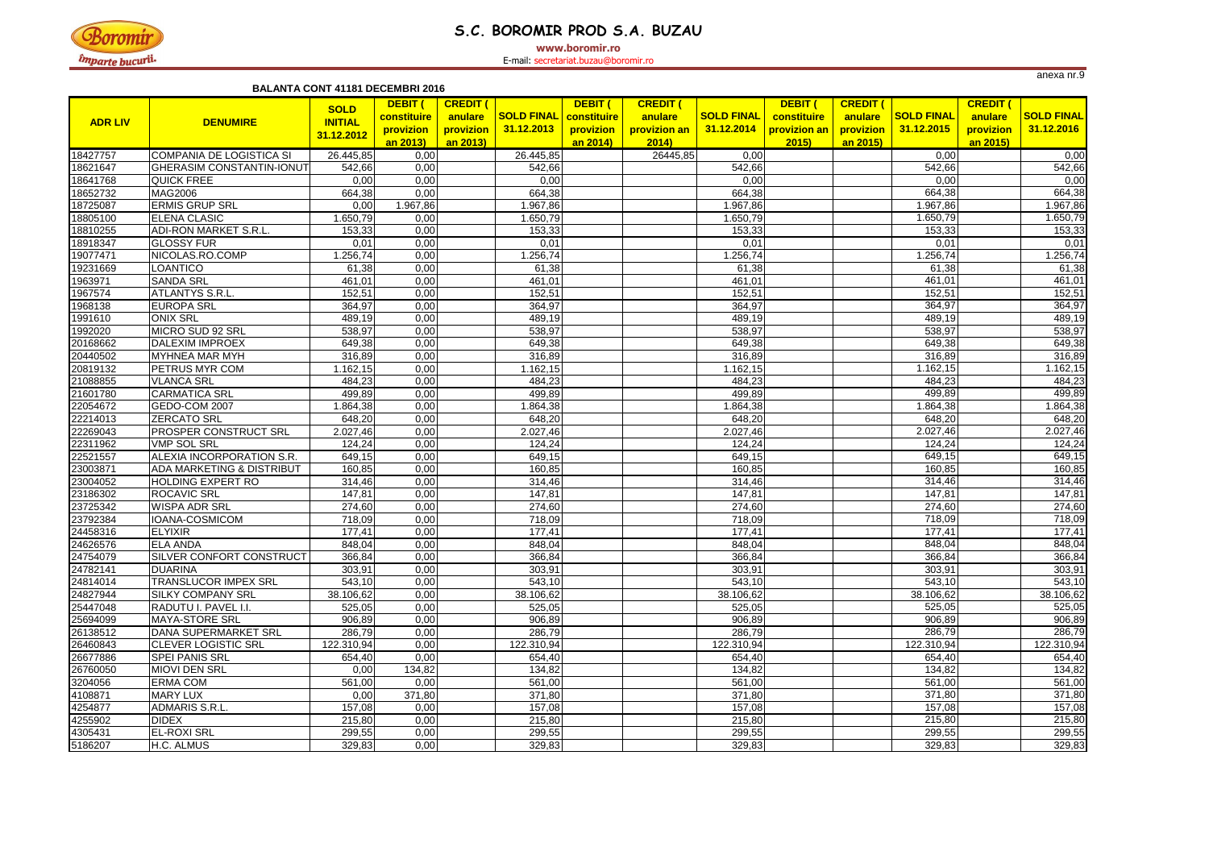

# **S.C. BOROMIR PROD S.A. BUZAU**

**www.boromir.ro**

|                |                                      |                | DEBIT (     | <b>CREDIT (</b> |                   | DEBIT (     | <b>CREDIT (</b> |                   | DEBIT (      | <b>CREDIT (</b> |                   | <b>CREDIT (</b> |                   |
|----------------|--------------------------------------|----------------|-------------|-----------------|-------------------|-------------|-----------------|-------------------|--------------|-----------------|-------------------|-----------------|-------------------|
|                |                                      | <b>SOLD</b>    | constituire | anulare         | <b>SOLD FINAL</b> | constituire | anulare         | <b>SOLD FINAL</b> | constituire  | anulare         | <b>SOLD FINAL</b> | anulare         | <b>SOLD FINAL</b> |
| <b>ADR LIV</b> | <b>DENUMIRE</b>                      | <b>INITIAL</b> | provizion   | provizion       | 31.12.2013        | provizion   | provizion an    | 31.12.2014        | provizion an | provizion       | 31.12.2015        | provizion       | 31.12.2016        |
|                |                                      | 31.12.2012     | an 2013)    | an 2013)        |                   | an 2014)    | 2014            |                   | 2015         | an 2015)        |                   | an 2015)        |                   |
| 18427757       | COMPANIA DE LOGISTICA SI             | 26.445,85      | 0,00        |                 | 26.445,85         |             | 26445,85        | 0,00              |              |                 | 0,00              |                 | 0,00              |
| 18621647       | <b>GHERASIM CONSTANTIN-IONUT</b>     | 542,66         | 0,00        |                 | 542,66            |             |                 | 542,66            |              |                 | 542,66            |                 | 542,66            |
| 18641768       | <b>QUICK FREE</b>                    | 0,00           | 0,00        |                 | 0,00              |             |                 | 0,00              |              |                 | 0,00              |                 | 0,00              |
| 18652732       | <b>MAG2006</b>                       | 664,38         | 0,00        |                 | 664,38            |             |                 | 664,38            |              |                 | 664,38            |                 | 664,38            |
| 18725087       | <b>ERMIS GRUP SRL</b>                | 0,00           | 1.967,86    |                 | 1.967,86          |             |                 | 1.967,86          |              |                 | 1.967,86          |                 | 1.967,86          |
| 18805100       | <b>ELENA CLASIC</b>                  | 1.650,79       | 0,00        |                 | 1.650,79          |             |                 | 1.650,79          |              |                 | 1.650,79          |                 | 1.650,79          |
| 18810255       | <b>ADI-RON MARKET S.R.L.</b>         | 153,33         | 0,00        |                 | 153,33            |             |                 | 153,33            |              |                 | 153,33            |                 | 153,33            |
| 18918347       | <b>GLOSSY FUR</b>                    | 0,01           | 0,00        |                 | 0,01              |             |                 | 0,01              |              |                 | 0,01              |                 | 0,01              |
| 19077471       | NICOLAS.RO.COMP                      | .256,74        | 0,00        |                 | 1.256,74          |             |                 | 1.256,74          |              |                 | 1.256,74          |                 | 1.256,74          |
| 19231669       | <b>LOANTICO</b>                      | 61,38          | 0,00        |                 | 61,38             |             |                 | 61,38             |              |                 | 61,38             |                 | 61,38             |
| 1963971        | <b>SANDA SRL</b>                     | 461,01         | 0,00        |                 | 461,01            |             |                 | 461,01            |              |                 | 461,01            |                 | 461,01            |
| 1967574        | <b>ATLANTYS S.R.L.</b>               | 152,51         | 0,00        |                 | 152,51            |             |                 | 152,51            |              |                 | 152,51            |                 | 152,51            |
| 1968138        | <b>EUROPA SRL</b>                    | 364,97         | 0,00        |                 | 364,97            |             |                 | 364,97            |              |                 | 364,97            |                 | 364,97            |
| 1991610        | <b>ONIX SRL</b>                      | 489,19         | 0,00        |                 | 489,19            |             |                 | 489,19            |              |                 | 489,19            |                 | 489,19            |
| 1992020        | MICRO SUD 92 SRL                     | 538,97         | 0,00        |                 | 538,97            |             |                 | 538,97            |              |                 | 538,97            |                 | 538,97            |
| 20168662       | <b>DALEXIM IMPROEX</b>               | 649,38         | 0,00        |                 | 649,38            |             |                 | 649,38            |              |                 | 649,38            |                 | 649,38            |
| 20440502       | <b>MYHNEA MAR MYH</b>                | 316,89         | 0,00        |                 | 316,89            |             |                 | 316,89            |              |                 | 316,89            |                 | 316,89            |
| 20819132       | <b>PETRUS MYR COM</b>                | 1.162,15       | 0,00        |                 | 1.162,15          |             |                 | 1.162,15          |              |                 | 1.162,15          |                 | 1.162,15          |
| 21088855       | <b>VLANCA SRL</b>                    | 484,23         | 0,00        |                 | 484,23            |             |                 | 484,23            |              |                 | 484,23            |                 | 484,23            |
| 21601780       | <b>CARMATICA SRL</b>                 | 499,89         | 0,00        |                 | 499,89            |             |                 | 499,89            |              |                 | 499,89            |                 | 499,89            |
| 22054672       | GEDO-COM 2007                        | 1.864,38       | 0,00        |                 | 1.864,38          |             |                 | 1.864,38          |              |                 | 1.864,38          |                 | 1.864,38          |
| 22214013       | <b>ZERCATO SRL</b>                   | 648,20         | 0,00        |                 | 648,20            |             |                 | 648,20            |              |                 | 648,20            |                 | 648,20            |
| 22269043       | <b>PROSPER CONSTRUCT SRL</b>         | 2.027,46       | 0,00        |                 | 2.027,46          |             |                 | 2.027,46          |              |                 | 2.027,46          |                 | 2.027,46          |
| 22311962       | <b>VMP SOL SRL</b>                   | 124,24         | 0,00        |                 | 124,24            |             |                 | 124,24            |              |                 | 124,24            |                 | 124,24            |
| 22521557       | ALEXIA INCORPORATION S.R.            | 649,15         | 0,00        |                 | 649,15            |             |                 | 649,15            |              |                 | 649,15            |                 | 649,15            |
| 23003871       | <b>ADA MARKETING &amp; DISTRIBUT</b> | 160,85         | 0,00        |                 | 160,85            |             |                 | 160,85            |              |                 | 160,85            |                 | 160,85            |
| 23004052       | <b>HOLDING EXPERT RO</b>             | 314,46         | 0,00        |                 | 314,46            |             |                 | 314,46            |              |                 | 314,46            |                 | 314,46            |
| 23186302       | <b>ROCAVIC SRL</b>                   | 147,81         | 0,00        |                 | 147,81            |             |                 | 147,81            |              |                 | 147,81            |                 | 147,81            |
| 23725342       | <b>WISPA ADR SRL</b>                 | 274,60         | 0,00        |                 | 274,60            |             |                 | 274,60            |              |                 | 274,60            |                 | 274,60            |
| 23792384       | IOANA-COSMICOM                       | 718,09         | 0,00        |                 | 718,09            |             |                 | 718,09            |              |                 | 718,09            |                 | 718,09            |
| 24458316       | <b>ELYIXIR</b>                       | 177,41         | 0,00        |                 | 177,41            |             |                 | 177,41            |              |                 | 177,41            |                 | 177,41            |
| 24626576       | <b>ELA ANDA</b>                      | 848,04         | 0,00        |                 | 848,04            |             |                 | 848,04            |              |                 | 848,04            |                 | 848,04            |
| 24754079       | SILVER CONFORT CONSTRUCT             | 366,84         | 0,00        |                 | 366,84            |             |                 | 366,84            |              |                 | 366,84            |                 | 366,84            |
| 24782141       | <b>DUARINA</b>                       | 303,91         | 0,00        |                 | 303,91            |             |                 | 303,91            |              |                 | 303,91            |                 | 303,91            |
| 24814014       | <b>TRANSLUCOR IMPEX SRL</b>          | 543,10         | 0,00        |                 | 543,10            |             |                 | 543,10            |              |                 | 543,10            |                 | 543,10            |
| 24827944       | <b>SILKY COMPANY SRL</b>             | 38.106,62      | 0,00        |                 | 38.106,62         |             |                 | 38.106,62         |              |                 | 38.106,62         |                 | 38.106,62         |
| 25447048       | RADUTU I. PAVEL I.I.                 | 525,05         | 0,00        |                 | 525,05            |             |                 | 525,05            |              |                 | 525,05            |                 | 525,05            |
| 25694099       | MAYA-STORE SRL                       | 906,89         | 0,00        |                 | 906,89            |             |                 | 906,89            |              |                 | 906,89            |                 | 906,89            |
| 26138512       | DANA SUPERMARKET SRL                 | 286,79         | 0,00        |                 | 286,79            |             |                 | 286,79            |              |                 | 286,79            |                 | 286,79            |
| 26460843       | <b>CLEVER LOGISTIC SRL</b>           | 122.310,94     | 0,00        |                 | 122.310,94        |             |                 | 122.310,94        |              |                 | 122.310,94        |                 | 122.310,94        |
| 26677886       | <b>SPEI PANIS SRL</b>                | 654,40         | 0,00        |                 | 654,40            |             |                 | 654,40            |              |                 | 654,40            |                 | 654,40            |
| 26760050       | <b>MIOVI DEN SRL</b>                 | 0,00           | 134,82      |                 | 134,82            |             |                 | 134,82            |              |                 | 134,82            |                 | 134,82            |
| 3204056        | <b>ERMA COM</b>                      | 561,00         | 0,00        |                 | 561,00            |             |                 | 561,00            |              |                 | 561,00            |                 | 561,00            |
| 4108871        | <b>MARY LUX</b>                      | 0,00           | 371,80      |                 | 371,80            |             |                 | 371,80            |              |                 | 371,80            |                 | 371,80            |
| 4254877        | ADMARIS S.R.L.                       | 157,08         | 0,00        |                 | 157,08            |             |                 | 157,08            |              |                 | 157,08            |                 | 157,08            |
| 4255902        | <b>DIDEX</b>                         | 215,80         | 0,00        |                 | 215,80            |             |                 | 215,80            |              |                 | 215,80            |                 | 215,80            |
| 4305431        | <b>EL-ROXI SRL</b>                   | 299,55         | 0,00        |                 | 299,55            |             |                 | 299,55            |              |                 | 299,55            |                 | 299,55            |
| 5186207        | H.C. ALMUS                           | 329,83         | 0,00        |                 | 329,83            |             |                 | 329,83            |              |                 | 329,83            |                 | 329,83            |